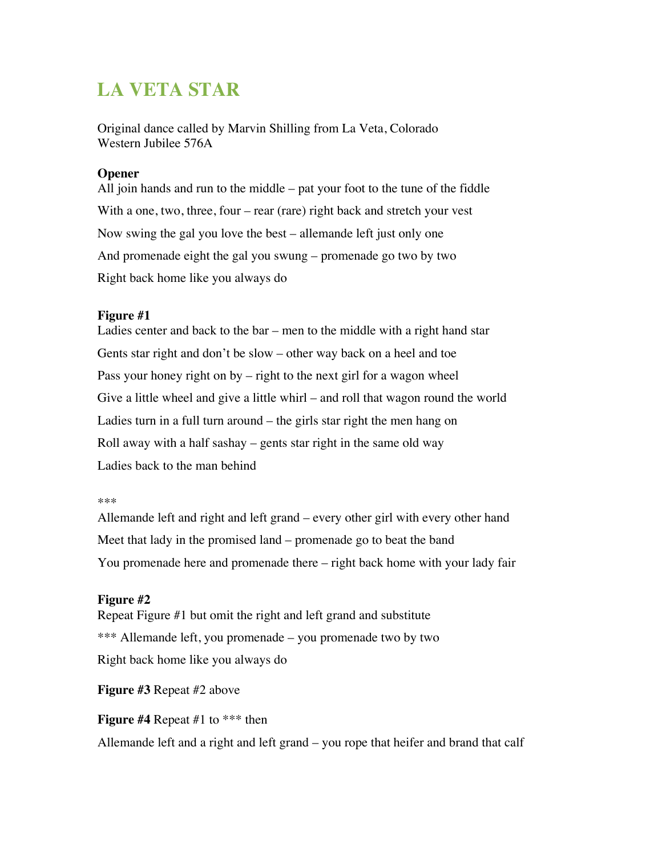# **LA VETA STAR**

Original dance called by Marvin Shilling from La Veta, Colorado Western Jubilee 576A

## **Opener**

All join hands and run to the middle – pat your foot to the tune of the fiddle With a one, two, three, four – rear (rare) right back and stretch your vest Now swing the gal you love the best – allemande left just only one And promenade eight the gal you swung – promenade go two by two Right back home like you always do

## **Figure #1**

Ladies center and back to the bar – men to the middle with a right hand star Gents star right and don't be slow – other way back on a heel and toe Pass your honey right on by – right to the next girl for a wagon wheel Give a little wheel and give a little whirl – and roll that wagon round the world Ladies turn in a full turn around – the girls star right the men hang on Roll away with a half sashay – gents star right in the same old way Ladies back to the man behind

#### \*\*\*

Allemande left and right and left grand – every other girl with every other hand Meet that lady in the promised land – promenade go to beat the band You promenade here and promenade there – right back home with your lady fair

### **Figure #2**

Repeat Figure #1 but omit the right and left grand and substitute \*\*\* Allemande left, you promenade – you promenade two by two Right back home like you always do

## **Figure #3** Repeat #2 above

**Figure #4** Repeat #1 to \*\*\* then

Allemande left and a right and left grand – you rope that heifer and brand that calf